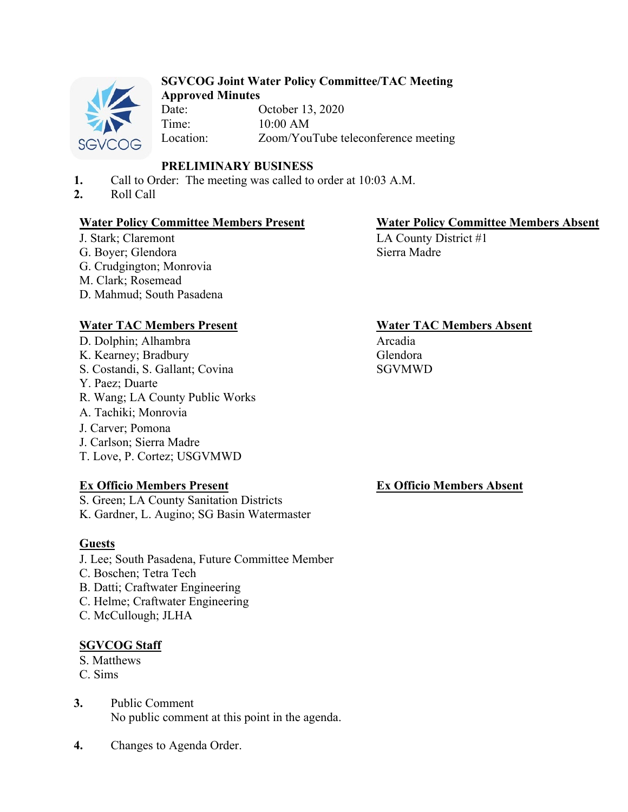

# **SGVCOG Joint Water Policy Committee/TAC Meeting**

**Approved Minutes** October 13, 2020 Time: 10:00 AM Location: Zoom/YouTube teleconference meeting

# **PRELIMINARY BUSINESS**

- **1.** Call to Order: The meeting was called to order at 10:03 A.M.
- **2.** Roll Call

#### **Water Policy Committee Members Present Water Policy Committee Members Absent**

J. Stark; Claremont G. Boyer; Glendora G. Crudgington; Monrovia M. Clark; Rosemead D. Mahmud; South Pasadena

D. Dolphin; Alhambra K. Kearney; Bradbury S. Costandi, S. Gallant; Covina Y. Paez; Duarte R. Wang; LA County Public Works A. Tachiki; Monrovia J. Carver; Pomona J. Carlson; Sierra Madre T. Love, P. Cortez; USGVMWD

#### **Ex Officio Members Present**

S. Green; LA County Sanitation Districts K. Gardner, L. Augino; SG Basin Watermaster

#### **Guests**

- J. Lee; South Pasadena, Future Committee Member
- C. Boschen; Tetra Tech
- B. Datti; Craftwater Engineering
- C. Helme; Craftwater Engineering
- C. McCullough; JLHA

# **SGVCOG Staff**

- S. Matthews
- C. Sims
- **3.** Public Comment No public comment at this point in the agenda.
- **4.** Changes to Agenda Order.

LA County District #1 Sierra Madre

### **Water TAC Members Present Water TAC Members Absent**

Arcadia Glendora SGVMWD

#### **Ex Officio Members Absent**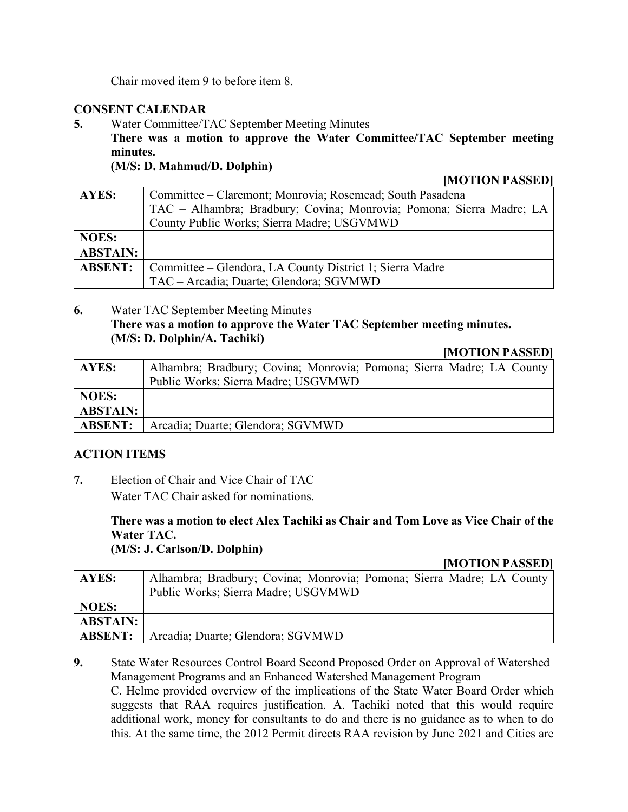Chair moved item 9 to before item 8.

### **CONSENT CALENDAR**

**5.** Water Committee/TAC September Meeting Minutes **There was a motion to approve the Water Committee/TAC September meeting minutes. (M/S: D. Mahmud/D. Dolphin)**

#### **[MOTION PASSED]**

| AYES:           | Committee – Claremont; Monrovia; Rosemead; South Pasadena            |
|-----------------|----------------------------------------------------------------------|
|                 | TAC - Alhambra; Bradbury; Covina; Monrovia; Pomona; Sierra Madre; LA |
|                 | County Public Works; Sierra Madre; USGVMWD                           |
| <b>NOES:</b>    |                                                                      |
| <b>ABSTAIN:</b> |                                                                      |
| <b>ABSENT:</b>  | Committee – Glendora, LA County District 1; Sierra Madre             |
|                 | TAC - Arcadia; Duarte; Glendora; SGVMWD                              |

### **6.** Water TAC September Meeting Minutes **There was a motion to approve the Water TAC September meeting minutes. (M/S: D. Dolphin/A. Tachiki)**

#### **[MOTION PASSED]**

| AYES:           | Alhambra; Bradbury; Covina; Monrovia; Pomona; Sierra Madre; LA County |
|-----------------|-----------------------------------------------------------------------|
|                 | Public Works; Sierra Madre; USGVMWD                                   |
| <b>NOES:</b>    |                                                                       |
| <b>ABSTAIN:</b> |                                                                       |
| <b>ABSENT:</b>  | Arcadia; Duarte; Glendora; SGVMWD                                     |

#### **ACTION ITEMS**

**7.** Election of Chair and Vice Chair of TAC Water TAC Chair asked for nominations.

> **There was a motion to elect Alex Tachiki as Chair and Tom Love as Vice Chair of the Water TAC.**

**(M/S: J. Carlson/D. Dolphin)**

#### **[MOTION PASSED]**

| <b>AYES:</b>    | Alhambra; Bradbury; Covina; Monrovia; Pomona; Sierra Madre; LA County<br>Public Works; Sierra Madre; USGVMWD |
|-----------------|--------------------------------------------------------------------------------------------------------------|
| NOES:           |                                                                                                              |
| <b>ABSTAIN:</b> |                                                                                                              |
| <b>ABSENT:</b>  | Arcadia; Duarte; Glendora; SGVMWD                                                                            |

**9.** State Water Resources Control Board Second Proposed Order on Approval of Watershed Management Programs and an Enhanced Watershed Management Program

C. Helme provided overview of the implications of the State Water Board Order which suggests that RAA requires justification. A. Tachiki noted that this would require additional work, money for consultants to do and there is no guidance as to when to do this. At the same time, the 2012 Permit directs RAA revision by June 2021 and Cities are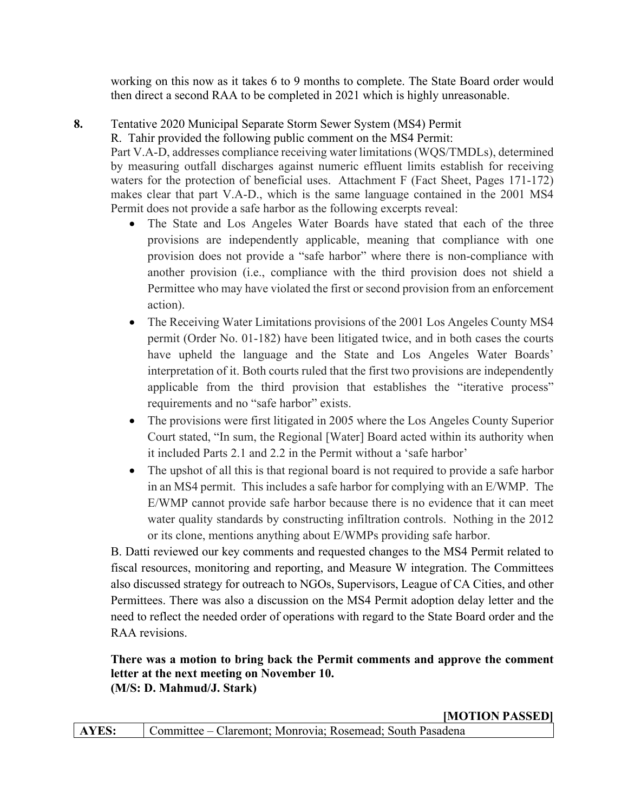working on this now as it takes 6 to 9 months to complete. The State Board order would then direct a second RAA to be completed in 2021 which is highly unreasonable.

# **8.** Tentative 2020 Municipal Separate Storm Sewer System (MS4) Permit

R. Tahir provided the following public comment on the MS4 Permit:

Part V.A-D, addresses compliance receiving water limitations (WQS/TMDLs), determined by measuring outfall discharges against numeric effluent limits establish for receiving waters for the protection of beneficial uses. Attachment F (Fact Sheet, Pages 171-172) makes clear that part V.A-D., which is the same language contained in the 2001 MS4 Permit does not provide a safe harbor as the following excerpts reveal:

- The State and Los Angeles Water Boards have stated that each of the three provisions are independently applicable, meaning that compliance with one provision does not provide a "safe harbor" where there is non-compliance with another provision (i.e., compliance with the third provision does not shield a Permittee who may have violated the first or second provision from an enforcement action).
- The Receiving Water Limitations provisions of the 2001 Los Angeles County MS4 permit (Order No. 01-182) have been litigated twice, and in both cases the courts have upheld the language and the State and Los Angeles Water Boards' interpretation of it. Both courts ruled that the first two provisions are independently applicable from the third provision that establishes the "iterative process" requirements and no "safe harbor" exists.
- The provisions were first litigated in 2005 where the Los Angeles County Superior Court stated, "In sum, the Regional [Water] Board acted within its authority when it included Parts 2.1 and 2.2 in the Permit without a 'safe harbor'
- The upshot of all this is that regional board is not required to provide a safe harbor in an MS4 permit. This includes a safe harbor for complying with an E/WMP. The E/WMP cannot provide safe harbor because there is no evidence that it can meet water quality standards by constructing infiltration controls. Nothing in the 2012 or its clone, mentions anything about E/WMPs providing safe harbor.

B. Datti reviewed our key comments and requested changes to the MS4 Permit related to fiscal resources, monitoring and reporting, and Measure W integration. The Committees also discussed strategy for outreach to NGOs, Supervisors, League of CA Cities, and other Permittees. There was also a discussion on the MS4 Permit adoption delay letter and the need to reflect the needed order of operations with regard to the State Board order and the RAA revisions.

#### **There was a motion to bring back the Permit comments and approve the comment letter at the next meeting on November 10. (M/S: D. Mahmud/J. Stark)**

**[MOTION PASSED]**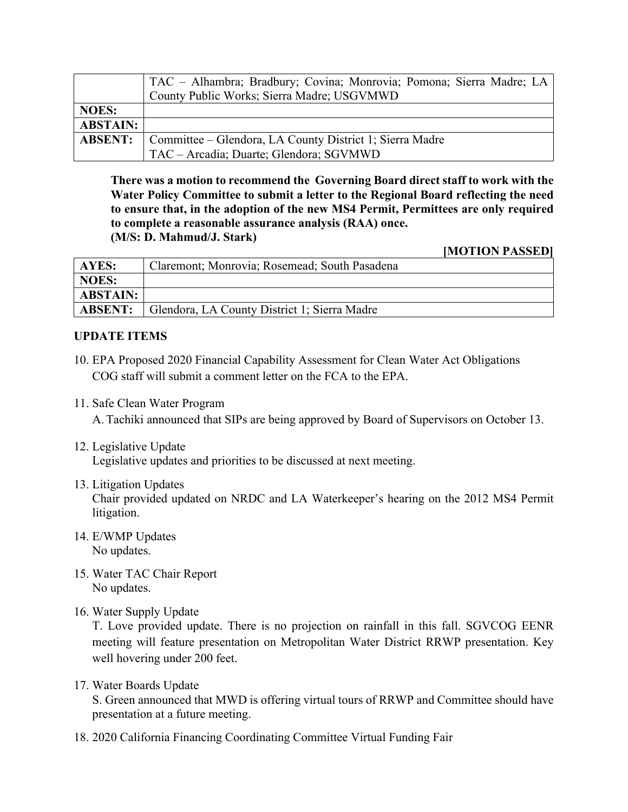|                 | TAC - Alhambra; Bradbury; Covina; Monrovia; Pomona; Sierra Madre; LA |
|-----------------|----------------------------------------------------------------------|
|                 | County Public Works; Sierra Madre; USGVMWD                           |
| <b>NOES:</b>    |                                                                      |
| <b>ABSTAIN:</b> |                                                                      |
| <b>ABSENT:</b>  | Committee – Glendora, LA County District 1; Sierra Madre             |
|                 | TAC - Arcadia; Duarte; Glendora; SGVMWD                              |

**There was a motion to recommend the Governing Board direct staff to work with the Water Policy Committee to submit a letter to the Regional Board reflecting the need to ensure that, in the adoption of the new MS4 Permit, Permittees are only required to complete a reasonable assurance analysis (RAA) once. (M/S: D. Mahmud/J. Stark)**

**[MOTION PASSED]**

| AYES:           | Claremont; Monrovia; Rosemead; South Pasadena |
|-----------------|-----------------------------------------------|
| <b>NOES:</b>    |                                               |
| <b>ABSTAIN:</b> |                                               |
| <b>ABSENT:</b>  | Glendora, LA County District 1; Sierra Madre  |

#### **UPDATE ITEMS**

- 10. EPA Proposed 2020 Financial Capability Assessment for Clean Water Act Obligations COG staff will submit a comment letter on the FCA to the EPA.
- 11. Safe Clean Water Program A. Tachiki announced that SIPs are being approved by Board of Supervisors on October 13.
- 12. Legislative Update Legislative updates and priorities to be discussed at next meeting.
- 13. Litigation Updates

Chair provided updated on NRDC and LA Waterkeeper's hearing on the 2012 MS4 Permit litigation.

- 14. E/WMP Updates No updates.
- 15. Water TAC Chair Report No updates.
- 16. Water Supply Update

T. Love provided update. There is no projection on rainfall in this fall. SGVCOG EENR meeting will feature presentation on Metropolitan Water District RRWP presentation. Key well hovering under 200 feet.

17. Water Boards Update

S. Green announced that MWD is offering virtual tours of RRWP and Committee should have presentation at a future meeting.

18. 2020 California Financing Coordinating Committee Virtual Funding Fair